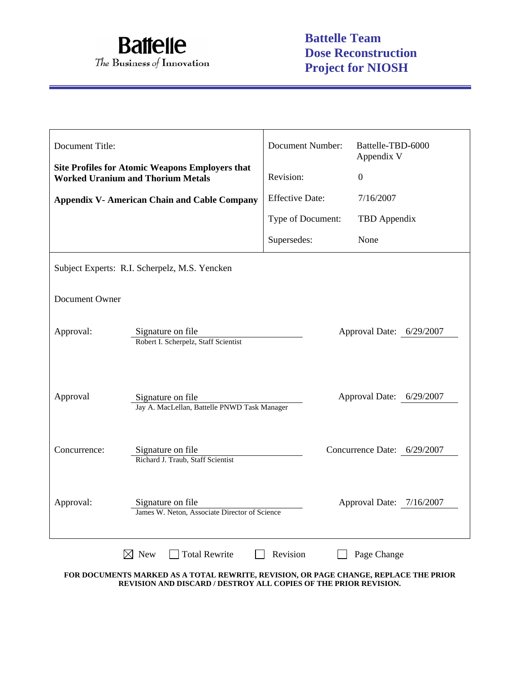

| Document Title: |                                                                                                    | <b>Document Number:</b> | Battelle-TBD-6000<br>Appendix V |  |  |
|-----------------|----------------------------------------------------------------------------------------------------|-------------------------|---------------------------------|--|--|
|                 | <b>Site Profiles for Atomic Weapons Employers that</b><br><b>Worked Uranium and Thorium Metals</b> | Revision:               | $\overline{0}$                  |  |  |
|                 | <b>Appendix V- American Chain and Cable Company</b>                                                | <b>Effective Date:</b>  | 7/16/2007                       |  |  |
|                 |                                                                                                    | Type of Document:       | TBD Appendix                    |  |  |
|                 |                                                                                                    | Supersedes:             | None                            |  |  |
|                 | Subject Experts: R.I. Scherpelz, M.S. Yencken                                                      |                         |                                 |  |  |
| Document Owner  |                                                                                                    |                         |                                 |  |  |
| Approval:       | Signature on file<br>Approval Date: 6/29/2007<br>Robert I. Scherpelz, Staff Scientist              |                         |                                 |  |  |
| Approval        | Signature on file<br>Jay A. MacLellan, Battelle PNWD Task Manager                                  |                         | Approval Date: 6/29/2007        |  |  |
| Concurrence:    | Signature on file<br>Richard J. Traub, Staff Scientist                                             |                         | Concurrence Date: 6/29/2007     |  |  |
| Approval:       | Signature on file<br>James W. Neton, Associate Director of Science                                 |                         | Approval Date: 7/16/2007        |  |  |
|                 | <b>Total Rewrite</b><br>$\boxtimes$ New                                                            | Revision                | Page Change                     |  |  |

**FOR DOCUMENTS MARKED AS A TOTAL REWRITE, REVISION, OR PAGE CHANGE, REPLACE THE PRIOR REVISION AND DISCARD / DESTROY ALL COPIES OF THE PRIOR REVISION.**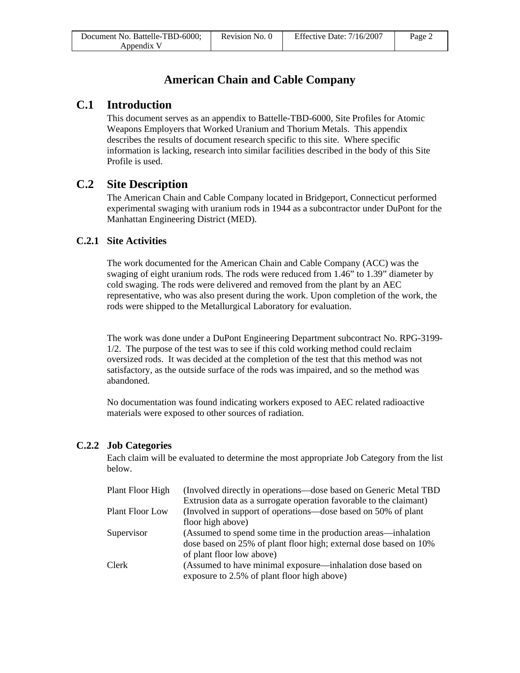# **American Chain and Cable Company**

## **C.1 Introduction**

This document serves as an appendix to Battelle-TBD-6000, Site Profiles for Atomic Weapons Employers that Worked Uranium and Thorium Metals. This appendix describes the results of document research specific to this site. Where specific information is lacking, research into similar facilities described in the body of this Site Profile is used.

## **C.2 Site Description**

The American Chain and Cable Company located in Bridgeport, Connecticut performed experimental swaging with uranium rods in 1944 as a subcontractor under DuPont for the Manhattan Engineering District (MED).

### **C.2.1 Site Activities**

The work documented for the American Chain and Cable Company (ACC) was the swaging of eight uranium rods. The rods were reduced from 1.46" to 1.39" diameter by cold swaging. The rods were delivered and removed from the plant by an AEC representative, who was also present during the work. Upon completion of the work, the rods were shipped to the Metallurgical Laboratory for evaluation.

The work was done under a DuPont Engineering Department subcontract No. RPG-3199- 1/2. The purpose of the test was to see if this cold working method could reclaim oversized rods. It was decided at the completion of the test that this method was not satisfactory, as the outside surface of the rods was impaired, and so the method was abandoned.

No documentation was found indicating workers exposed to AEC related radioactive materials were exposed to other sources of radiation.

#### **C.2.2 Job Categories**

Each claim will be evaluated to determine the most appropriate Job Category from the list below.

| Plant Floor High       | (Involved directly in operations—dose based on Generic Metal TBD)<br>Extrusion data as a surrogate operation favorable to the claimant) |
|------------------------|-----------------------------------------------------------------------------------------------------------------------------------------|
| <b>Plant Floor Low</b> | (Involved in support of operations—dose based on 50% of plant                                                                           |
|                        | floor high above)                                                                                                                       |
| Supervisor             | (Assumed to spend some time in the production areas—inhalation                                                                          |
|                        | dose based on 25% of plant floor high; external dose based on 10%                                                                       |
|                        | of plant floor low above)                                                                                                               |
| Clerk                  | (Assumed to have minimal exposure—inhalation dose based on<br>exposure to 2.5% of plant floor high above)                               |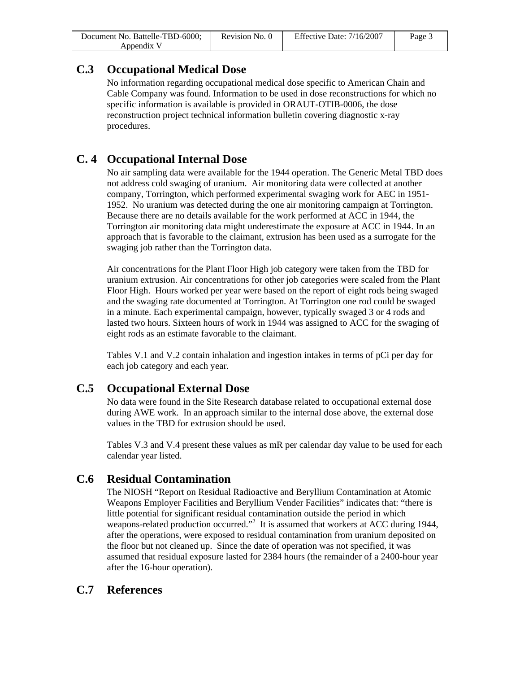| Document No. Battelle-TBD-6000; | Revision No. 0 | Effective Date: 7/16/2007 | Page 3 |
|---------------------------------|----------------|---------------------------|--------|
| Appendix V                      |                |                           |        |

## **C.3 Occupational Medical Dose**

No information regarding occupational medical dose specific to American Chain and Cable Company was found. Information to be used in dose reconstructions for which no specific information is available is provided in ORAUT-OTIB-0006, the dose reconstruction project technical information bulletin covering diagnostic x-ray procedures.

# **C. 4 Occupational Internal Dose**

No air sampling data were available for the 1944 operation. The Generic Metal TBD does not address cold swaging of uranium. Air monitoring data were collected at another company, Torrington, which performed experimental swaging work for AEC in 1951- 1952. No uranium was detected during the one air monitoring campaign at Torrington. Because there are no details available for the work performed at ACC in 1944, the Torrington air monitoring data might underestimate the exposure at ACC in 1944. In an approach that is favorable to the claimant, extrusion has been used as a surrogate for the swaging job rather than the Torrington data.

Air concentrations for the Plant Floor High job category were taken from the TBD for uranium extrusion. Air concentrations for other job categories were scaled from the Plant Floor High. Hours worked per year were based on the report of eight rods being swaged and the swaging rate documented at Torrington. At Torrington one rod could be swaged in a minute. Each experimental campaign, however, typically swaged 3 or 4 rods and lasted two hours. Sixteen hours of work in 1944 was assigned to ACC for the swaging of eight rods as an estimate favorable to the claimant.

Tables V.1 and V.2 contain inhalation and ingestion intakes in terms of pCi per day for each job category and each year.

## **C.5 Occupational External Dose**

No data were found in the Site Research database related to occupational external dose during AWE work. In an approach similar to the internal dose above, the external dose values in the TBD for extrusion should be used.

Tables V.3 and V.4 present these values as mR per calendar day value to be used for each calendar year listed.

### **C.6 Residual Contamination**

The NIOSH "Report on Residual Radioactive and Beryllium Contamination at Atomic Weapons Employer Facilities and Beryllium Vender Facilities" indicates that: "there is little potential for significant residual contamination outside the period in which weapons-related production occurred."<sup>2</sup> It is assumed that workers at ACC during 1944, after the operations, were exposed to residual contamination from uranium deposited on the floor but not cleaned up. Since the date of operation was not specified, it was assumed that residual exposure lasted for 2384 hours (the remainder of a 2400-hour year after the 16-hour operation).

## **C.7 References**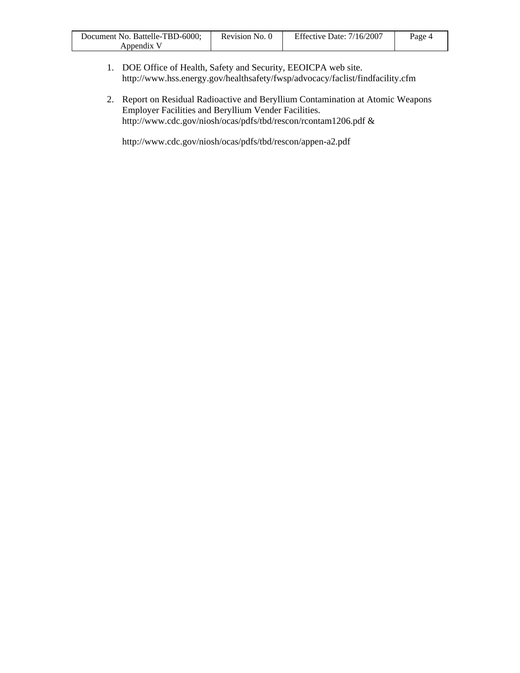| Document No. Battelle-TBD-6000; | Revision No. 0 | Effective Date: $7/16/2007$ | Page 4 |
|---------------------------------|----------------|-----------------------------|--------|
| Appendix <sup>V</sup>           |                |                             |        |

- 1. DOE Office of Health, Safety and Security, EEOICPA web site. http://www.hss.energy.gov/healthsafety/fwsp/advocacy/faclist/findfacility.cfm
- 2. Report on Residual Radioactive and Beryllium Contamination at Atomic Weapons Employer Facilities and Beryllium Vender Facilities. http://www.cdc.gov/niosh/ocas/pdfs/tbd/rescon/rcontam1206.pdf &

http://www.cdc.gov/niosh/ocas/pdfs/tbd/rescon/appen-a2.pdf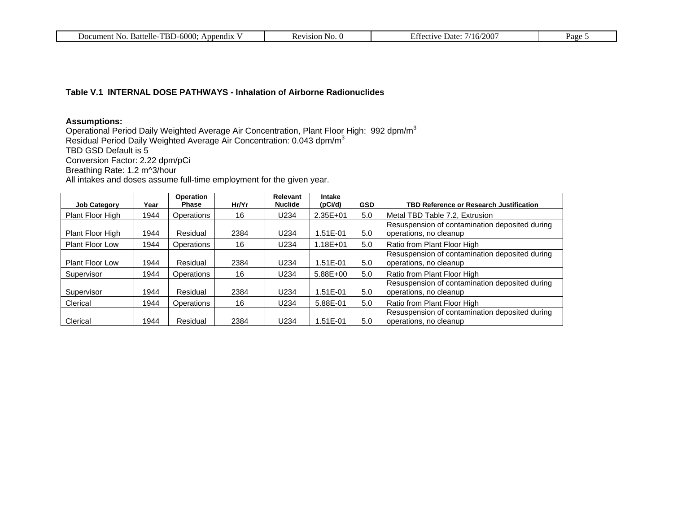| $-600C$<br>וסיד<br>Battelle<br>-No<br>Document<br>endix<br>Anr<br>D I | $1101\Omega$<br>NO.<br>$\mathbf{a}$<br>.<br> | 200<br>. Jate<br>. $/16/7$<br>$\cdot$ 1 $V^{\prime}$ | Page |
|-----------------------------------------------------------------------|----------------------------------------------|------------------------------------------------------|------|
|-----------------------------------------------------------------------|----------------------------------------------|------------------------------------------------------|------|

#### **Table V.1 INTERNAL DOSE PATHWAYS - Inhalation of Airborne Radionuclides**

#### **Assumptions:**

Operational Period Daily Weighted Average Air Concentration, Plant Floor High: 992 dpm/m $^3$ Residual Period Daily Weighted Average Air Concentration: 0.043 dpm/m $^3$ TBD GSD Default is 5 Conversion Factor: 2.22 dpm/pCi Breathing Rate: 1.2 m^3/hour All intakes and doses assume full-time employment for the given year.

| <b>Job Category</b>    | Year | Operation<br><b>Phase</b> | Hr/Yr | Relevant<br><b>Nuclide</b> | <b>Intake</b><br>(pCi/d) | <b>GSD</b> | <b>TBD Reference or Research Justification</b>                           |
|------------------------|------|---------------------------|-------|----------------------------|--------------------------|------------|--------------------------------------------------------------------------|
| Plant Floor High       | 1944 | Operations                | 16    | U234                       | $2.35E + 01$             | 5.0        | Metal TBD Table 7.2, Extrusion                                           |
| Plant Floor High       | 1944 | Residual                  | 2384  | U234                       | 1.51E-01                 | 5.0        | Resuspension of contamination deposited during<br>operations, no cleanup |
| <b>Plant Floor Low</b> | 1944 | Operations                | 16    | U234                       | $1.18E + 01$             | 5.0        | Ratio from Plant Floor High                                              |
| <b>Plant Floor Low</b> | 1944 | Residual                  | 2384  | U234                       | 1.51E-01                 | 5.0        | Resuspension of contamination deposited during<br>operations, no cleanup |
| Supervisor             | 1944 | Operations                | 16    | U234                       | 5.88E+00                 | 5.0        | Ratio from Plant Floor High                                              |
| Supervisor             | 1944 | Residual                  | 2384  | U <sub>234</sub>           | 1.51E-01                 | 5.0        | Resuspension of contamination deposited during<br>operations, no cleanup |
| Clerical               | 1944 | Operations                | 16    | U234                       | 5.88E-01                 | 5.0        | Ratio from Plant Floor High                                              |
| Clerical               | 1944 | Residual                  | 2384  | U234                       | 1.51E-01                 | 5.0        | Resuspension of contamination deposited during<br>operations, no cleanup |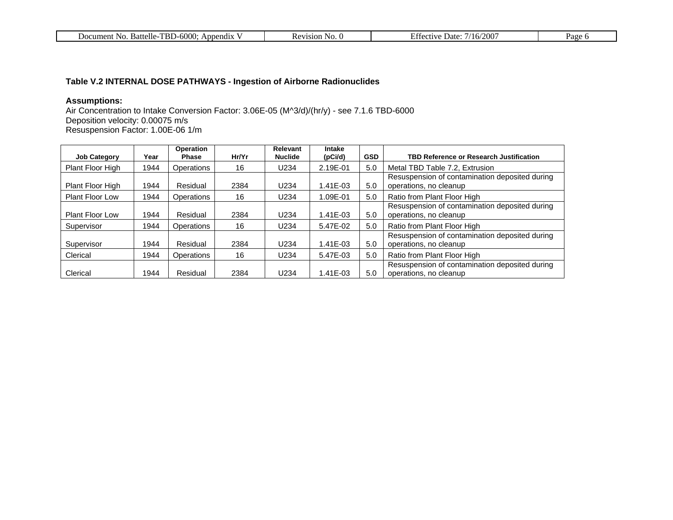| -6000:<br>TBD-<br>Battelle<br>Appendix<br>Document<br>NG<br>21 I C T | <b>N</b><br>' INU.<br>.<br>181V) | $^{\prime}200$<br>Jate:<br>----<br>/16/<br>. 11 V<br>. . | $a_{\alpha\alpha}$ |
|----------------------------------------------------------------------|----------------------------------|----------------------------------------------------------|--------------------|
|----------------------------------------------------------------------|----------------------------------|----------------------------------------------------------|--------------------|

### **Table V.2 INTERNAL DOSE PATHWAYS - Ingestion of Airborne Radionuclides**

#### **Assumptions:**

Air Concentration to Intake Conversion Factor: 3.06E-05 (M^3/d)/(hr/y) - see 7.1.6 TBD-6000 Deposition velocity: 0.00075 m/s Resuspension Factor: 1.00E-06 1/m

| <b>Job Category</b>    | Year | Operation<br><b>Phase</b> | Hr/Yr | Relevant<br><b>Nuclide</b> | Intake<br>(pCi/d) | <b>GSD</b> | <b>TBD Reference or Research Justification</b>                           |
|------------------------|------|---------------------------|-------|----------------------------|-------------------|------------|--------------------------------------------------------------------------|
| Plant Floor High       | 1944 | <b>Operations</b>         | 16    | U234                       | 2.19E-01          | 5.0        | Metal TBD Table 7.2, Extrusion                                           |
| Plant Floor High       | 1944 | Residual                  | 2384  | U234                       | 1.41E-03          | 5.0        | Resuspension of contamination deposited during<br>operations, no cleanup |
| <b>Plant Floor Low</b> | 1944 | Operations                | 16    | U234                       | 1.09E-01          | 5.0        | Ratio from Plant Floor High                                              |
| <b>Plant Floor Low</b> | 1944 | Residual                  | 2384  | U234                       | 1.41E-03          | 5.0        | Resuspension of contamination deposited during<br>operations, no cleanup |
| Supervisor             | 1944 | Operations                | 16    | U234                       | 5.47E-02          | 5.0        | Ratio from Plant Floor High                                              |
| Supervisor             | 1944 | Residual                  | 2384  | U <sub>234</sub>           | 1.41E-03          | 5.0        | Resuspension of contamination deposited during<br>operations, no cleanup |
| Clerical               | 1944 | <b>Operations</b>         | 16    | U234                       | 5.47E-03          | 5.0        | Ratio from Plant Floor High                                              |
| Clerical               | 1944 | Residual                  | 2384  | U234                       | 1.41E-03          | 5.0        | Resuspension of contamination deposited during<br>operations, no cleanup |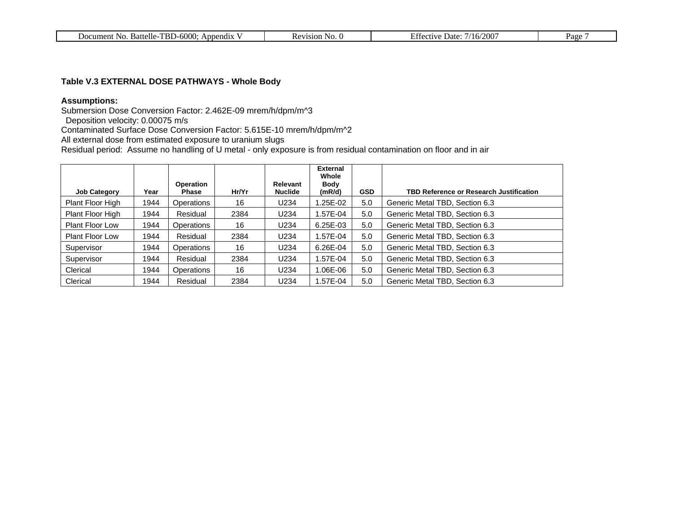| TBD-6000<br>Battelle-<br>Document No.<br>Appendix | evision<br>N <sub>O</sub> | $\sqrt{200}$<br>Date:<br>$^{\prime}/16/$<br>a fective i | Page |
|---------------------------------------------------|---------------------------|---------------------------------------------------------|------|
|                                                   |                           |                                                         |      |

#### **Table V.3 EXTERNAL DOSE PATHWAYS - Whole Body**

#### **Assumptions:**

Submersion Dose Conversion Factor: 2.462E-09 mrem/h/dpm/m^3

Deposition velocity: 0.00075 m/s

Contaminated Surface Dose Conversion Factor: 5.615E-10 mrem/h/dpm/m^2

All external dose from estimated exposure to uranium slugs

Residual period: Assume no handling of U metal - only exposure is from residual contamination on floor and in air

|                        |      |                           |       |                            | <b>External</b><br>Whole |            |                                                |
|------------------------|------|---------------------------|-------|----------------------------|--------------------------|------------|------------------------------------------------|
| <b>Job Category</b>    | Year | <b>Operation</b><br>Phase | Hr/Yr | Relevant<br><b>Nuclide</b> | Body<br>(mR/d)           | <b>GSD</b> | <b>TBD Reference or Research Justification</b> |
| Plant Floor High       | 1944 | Operations                | 16    | U234                       | .25E-02                  | 5.0        | Generic Metal TBD, Section 6.3                 |
| Plant Floor High       | 1944 | Residual                  | 2384  | U234                       | .57E-04                  | 5.0        | Generic Metal TBD, Section 6.3                 |
| <b>Plant Floor Low</b> | 1944 | Operations                | 16    | U234                       | $6.25E-03$               | 5.0        | Generic Metal TBD, Section 6.3                 |
| <b>Plant Floor Low</b> | 1944 | Residual                  | 2384  | U234                       | .57E-04                  | 5.0        | Generic Metal TBD, Section 6.3                 |
| Supervisor             | 1944 | Operations                | 16    | U234                       | 6.26E-04                 | 5.0        | Generic Metal TBD, Section 6.3                 |
| Supervisor             | 1944 | Residual                  | 2384  | U234                       | .57E-04                  | 5.0        | Generic Metal TBD, Section 6.3                 |
| Clerical               | 1944 | Operations                | 16    | U234                       | 06E-06.                  | 5.0        | Generic Metal TBD, Section 6.3                 |
| Clerical               | 1944 | Residual                  | 2384  | U234                       | .57E-04                  | 5.0        | Generic Metal TBD, Section 6.3                 |